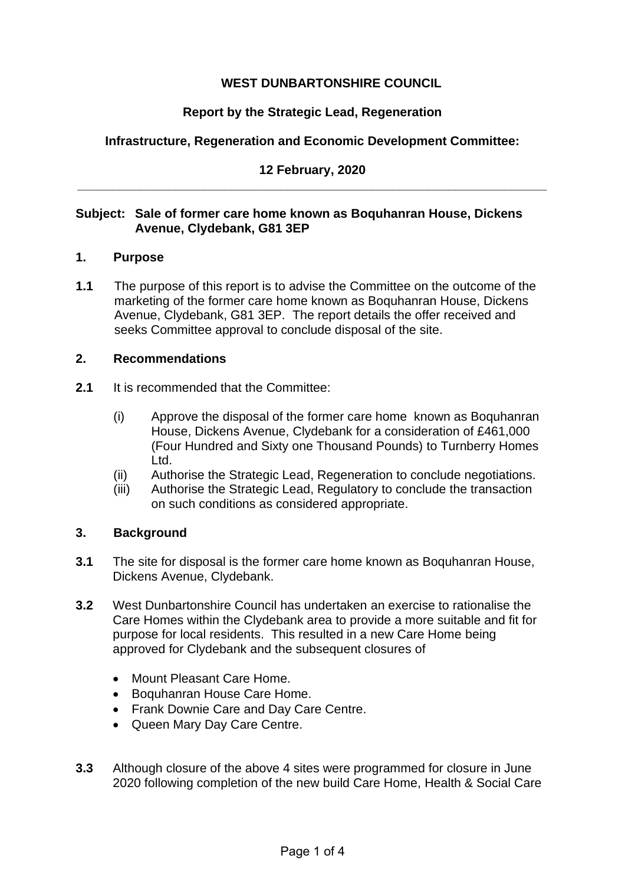# **WEST DUNBARTONSHIRE COUNCIL**

# **Report by the Strategic Lead, Regeneration**

# **Infrastructure, Regeneration and Economic Development Committee:**

## **12 February, 2020 \_\_\_\_\_\_\_\_\_\_\_\_\_\_\_\_\_\_\_\_\_\_\_\_\_\_\_\_\_\_\_\_\_\_\_\_\_\_\_\_\_\_\_\_\_\_\_\_\_\_\_\_\_\_\_\_\_\_\_\_\_\_\_\_\_\_\_**

## **Subject: Sale of former care home known as Boquhanran House, Dickens Avenue, Clydebank, G81 3EP**

#### **1. Purpose**

**1.1** The purpose of this report is to advise the Committee on the outcome of the marketing of the former care home known as Boquhanran House, Dickens Avenue, Clydebank, G81 3EP. The report details the offer received and seeks Committee approval to conclude disposal of the site.

#### **2. Recommendations**

- **2.1** It is recommended that the Committee:
	- (i) Approve the disposal of the former care home known as Boquhanran House, Dickens Avenue, Clydebank for a consideration of £461,000 (Four Hundred and Sixty one Thousand Pounds) to Turnberry Homes Ltd.
	- (ii) Authorise the Strategic Lead, Regeneration to conclude negotiations.
	- (iii) Authorise the Strategic Lead, Regulatory to conclude the transaction on such conditions as considered appropriate.

## **3. Background**

- **3.1** The site for disposal is the former care home known as Boquhanran House, Dickens Avenue, Clydebank.
- **3.2** West Dunbartonshire Council has undertaken an exercise to rationalise the Care Homes within the Clydebank area to provide a more suitable and fit for purpose for local residents. This resulted in a new Care Home being approved for Clydebank and the subsequent closures of
	- Mount Pleasant Care Home.
	- Boquhanran House Care Home.
	- Frank Downie Care and Day Care Centre.
	- Queen Mary Day Care Centre.
- **3.3** Although closure of the above 4 sites were programmed for closure in June 2020 following completion of the new build Care Home, Health & Social Care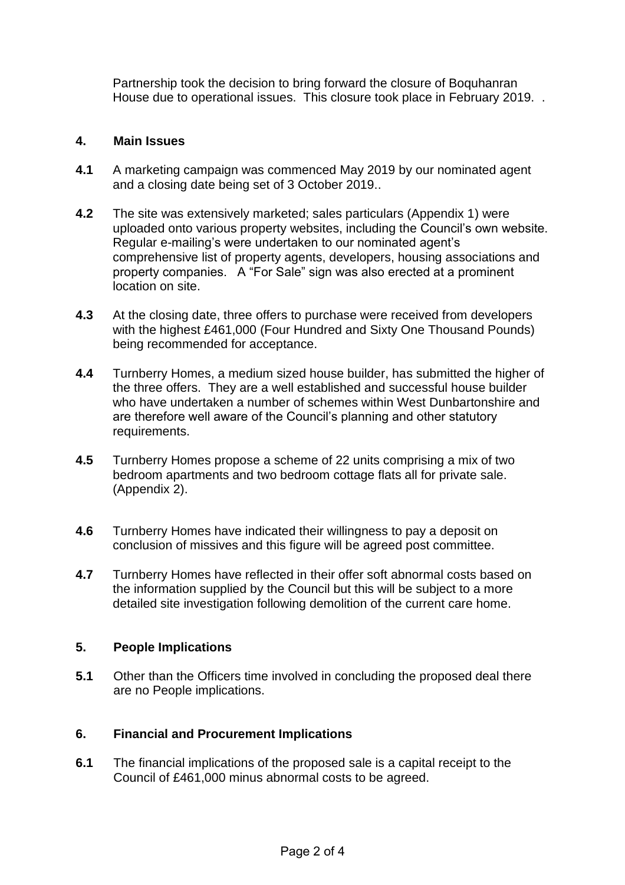Partnership took the decision to bring forward the closure of Boquhanran House due to operational issues. This closure took place in February 2019. .

## **4. Main Issues**

- **4.1** A marketing campaign was commenced May 2019 by our nominated agent and a closing date being set of 3 October 2019..
- **4.2** The site was extensively marketed; sales particulars (Appendix 1) were uploaded onto various property websites, including the Council's own website. Regular e-mailing's were undertaken to our nominated agent's comprehensive list of property agents, developers, housing associations and property companies. A "For Sale" sign was also erected at a prominent location on site.
- **4.3** At the closing date, three offers to purchase were received from developers with the highest £461,000 (Four Hundred and Sixty One Thousand Pounds) being recommended for acceptance.
- **4.4** Turnberry Homes, a medium sized house builder, has submitted the higher of the three offers. They are a well established and successful house builder who have undertaken a number of schemes within West Dunbartonshire and are therefore well aware of the Council's planning and other statutory requirements.
- **4.5** Turnberry Homes propose a scheme of 22 units comprising a mix of two bedroom apartments and two bedroom cottage flats all for private sale. (Appendix 2).
- **4.6** Turnberry Homes have indicated their willingness to pay a deposit on conclusion of missives and this figure will be agreed post committee.
- **4.7** Turnberry Homes have reflected in their offer soft abnormal costs based on the information supplied by the Council but this will be subject to a more detailed site investigation following demolition of the current care home.

#### **5. People Implications**

**5.1** Other than the Officers time involved in concluding the proposed deal there are no People implications.

## **6. Financial and Procurement Implications**

**6.1** The financial implications of the proposed sale is a capital receipt to the Council of £461,000 minus abnormal costs to be agreed.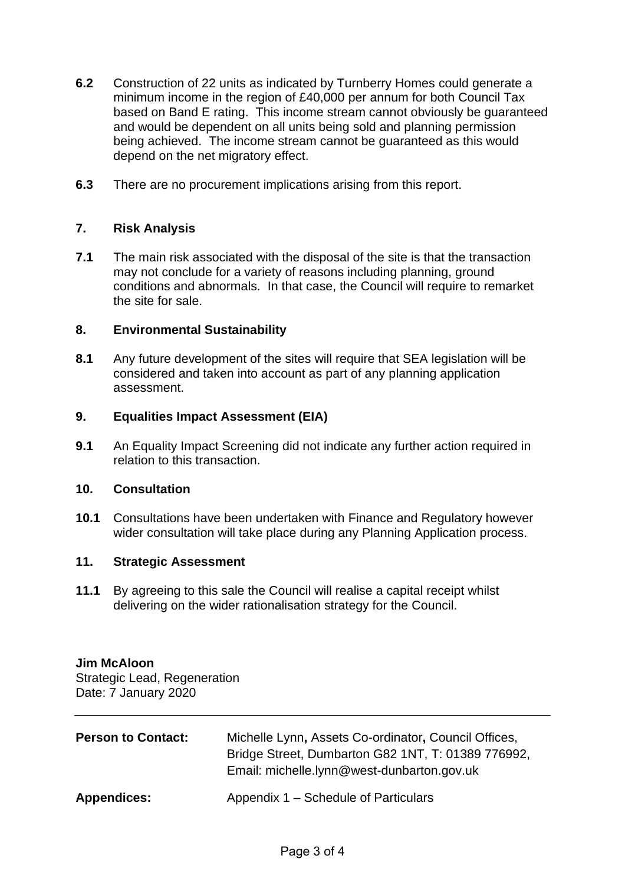- **6.2** Construction of 22 units as indicated by Turnberry Homes could generate a minimum income in the region of £40,000 per annum for both Council Tax based on Band E rating. This income stream cannot obviously be guaranteed and would be dependent on all units being sold and planning permission being achieved. The income stream cannot be guaranteed as this would depend on the net migratory effect.
- **6.3** There are no procurement implications arising from this report.

## **7. Risk Analysis**

**7.1** The main risk associated with the disposal of the site is that the transaction may not conclude for a variety of reasons including planning, ground conditions and abnormals. In that case, the Council will require to remarket the site for sale.

## **8. Environmental Sustainability**

**8.1** Any future development of the sites will require that SEA legislation will be considered and taken into account as part of any planning application assessment.

#### **9. Equalities Impact Assessment (EIA)**

**9.1** An Equality Impact Screening did not indicate any further action required in relation to this transaction.

#### **10. Consultation**

**10.1** Consultations have been undertaken with Finance and Regulatory however wider consultation will take place during any Planning Application process.

#### **11. Strategic Assessment**

**11.1** By agreeing to this sale the Council will realise a capital receipt whilst delivering on the wider rationalisation strategy for the Council.

# **Jim McAloon**

Strategic Lead, Regeneration Date: 7 January 2020

| <b>Person to Contact:</b> | Michelle Lynn, Assets Co-ordinator, Council Offices,<br>Bridge Street, Dumbarton G82 1NT, T: 01389 776992,<br>Email: michelle.lynn@west-dunbarton.gov.uk |
|---------------------------|----------------------------------------------------------------------------------------------------------------------------------------------------------|
| <b>Appendices:</b>        | Appendix 1 – Schedule of Particulars                                                                                                                     |